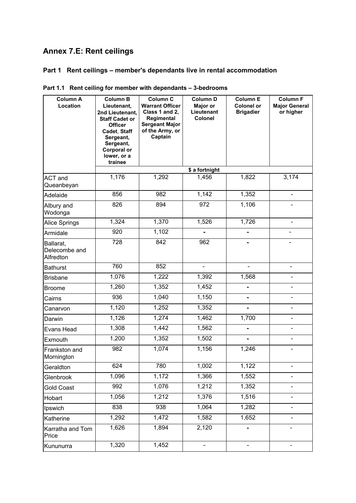# **Annex 7.E: Rent ceilings**

# **Part 1 Rent ceilings – member's dependants live in rental accommodation**

| <b>Column A</b><br>Location             | <b>Column B</b><br>Lieutenant,<br>2nd Lieutenant,<br><b>Staff Cadet or</b><br><b>Officer</b><br>Cadet, Staff<br>Sergeant,<br>Sergeant,<br><b>Corporal or</b><br>lower, or a<br>trainee | <b>Column C</b><br><b>Warrant Officer</b><br>Class 1 and 2,<br>Regimental<br><b>Sergeant Major</b><br>of the Army, or<br>Captain | <b>Column D</b><br>Major or<br>Lieutenant<br>Colonel | <b>Column E</b><br><b>Colonel or</b><br><b>Brigadier</b> | <b>Column F</b><br><b>Major General</b><br>or higher |
|-----------------------------------------|----------------------------------------------------------------------------------------------------------------------------------------------------------------------------------------|----------------------------------------------------------------------------------------------------------------------------------|------------------------------------------------------|----------------------------------------------------------|------------------------------------------------------|
|                                         |                                                                                                                                                                                        |                                                                                                                                  | \$ a fortnight                                       |                                                          |                                                      |
| ACT and<br>Queanbeyan                   | 1,176                                                                                                                                                                                  | 1,292                                                                                                                            | 1,456                                                | 1,822                                                    | 3,174                                                |
| Adelaide                                | 856                                                                                                                                                                                    | $\overline{982}$                                                                                                                 | 1,142                                                | 1,352                                                    | $\blacksquare$                                       |
| Albury and<br>Wodonga                   | 826                                                                                                                                                                                    | 894                                                                                                                              | 972                                                  | 1,106                                                    |                                                      |
| Alice Springs                           | 1,324                                                                                                                                                                                  | 1,370                                                                                                                            | 1,526                                                | 1,726                                                    | $\blacksquare$                                       |
| Armidale                                | 920                                                                                                                                                                                    | 1,102                                                                                                                            |                                                      |                                                          |                                                      |
| Ballarat,<br>Delecombe and<br>Alfredton | 728                                                                                                                                                                                    | 842                                                                                                                              | 962                                                  |                                                          |                                                      |
| <b>Bathurst</b>                         | 760                                                                                                                                                                                    | 852                                                                                                                              | ÷,                                                   |                                                          | $\blacksquare$                                       |
| <b>Brisbane</b>                         | 1,076                                                                                                                                                                                  | 1,222                                                                                                                            | 1,392                                                | 1,568                                                    |                                                      |
| <b>Broome</b>                           | 1,260                                                                                                                                                                                  | 1,352                                                                                                                            | 1,452                                                |                                                          |                                                      |
| Cairns                                  | 936                                                                                                                                                                                    | 1,040                                                                                                                            | 1,150                                                |                                                          |                                                      |
| Canarvon                                | 1,120                                                                                                                                                                                  | 1,252                                                                                                                            | 1,352                                                |                                                          |                                                      |
| Darwin                                  | 1,126                                                                                                                                                                                  | 1,274                                                                                                                            | 1,462                                                | 1,700                                                    |                                                      |
| Evans Head                              | 1,308                                                                                                                                                                                  | 1,442                                                                                                                            | 1,562                                                | $\blacksquare$                                           | $\blacksquare$                                       |
| Exmouth                                 | 1,200                                                                                                                                                                                  | 1,352                                                                                                                            | 1,502                                                |                                                          |                                                      |
| Frankston and<br>Mornington             | 982                                                                                                                                                                                    | 1,074                                                                                                                            | 1,156                                                | 1,246                                                    |                                                      |
| Geraldton                               | 624                                                                                                                                                                                    | 780                                                                                                                              | 1,002                                                | 1,122                                                    |                                                      |
| Glenbrook                               | 1,096                                                                                                                                                                                  | 1,172                                                                                                                            | 1,366                                                | 1,552                                                    |                                                      |
| <b>Gold Coast</b>                       | 992                                                                                                                                                                                    | 1,076                                                                                                                            | 1,212                                                | 1,352                                                    |                                                      |
| Hobart                                  | 1,056                                                                                                                                                                                  | 1,212                                                                                                                            | 1,376                                                | 1,516                                                    |                                                      |
| Ipswich                                 | 838                                                                                                                                                                                    | 938                                                                                                                              | 1,064                                                | 1,282                                                    |                                                      |
| Katherine                               | 1,292                                                                                                                                                                                  | 1,472                                                                                                                            | 1,582                                                | 1,652                                                    |                                                      |
| Karratha and Tom<br>Price               | 1,626                                                                                                                                                                                  | 1,894                                                                                                                            | 2,120                                                |                                                          |                                                      |
| Kununurra                               | 1,320                                                                                                                                                                                  | 1,452                                                                                                                            | -                                                    |                                                          | $\overline{\phantom{0}}$                             |

|  |  | Part 1.1 Rent ceiling for member with dependants - 3-bedrooms |
|--|--|---------------------------------------------------------------|
|--|--|---------------------------------------------------------------|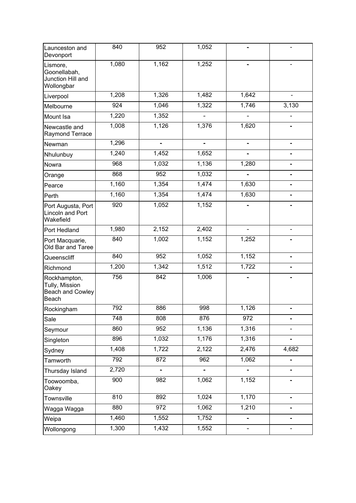| Launceston and<br>Devonport                                 | 840   | 952           | 1,052                    |                          |       |
|-------------------------------------------------------------|-------|---------------|--------------------------|--------------------------|-------|
| Lismore,<br>Goonellabah,<br>Junction Hill and<br>Wollongbar | 1,080 | 1,162         | 1,252                    |                          |       |
| Liverpool                                                   | 1,208 | 1,326         | 1,482                    | 1,642                    |       |
| Melbourne                                                   | 924   | 1,046         | 1,322                    | 1,746                    | 3,130 |
| Mount Isa                                                   | 1,220 | 1,352         |                          |                          |       |
| Newcastle and<br>Raymond Terrace                            | 1,008 | 1,126         | 1,376                    | 1,620                    |       |
| Newman                                                      | 1,296 |               |                          |                          |       |
| Nhulunbuy                                                   | 1,240 | 1,452         | 1,652                    |                          |       |
| Nowra                                                       | 968   | 1,032         | 1,136                    | 1,280                    |       |
| Orange                                                      | 868   | 952           | 1,032                    |                          |       |
| Pearce                                                      | 1,160 | 1,354         | 1,474                    | 1,630                    |       |
| Perth                                                       | 1,160 | 1,354         | 1,474                    | 1,630                    | Ξ.    |
| Port Augusta, Port<br><b>Lincoln and Port</b><br>Wakefield  | 920   | 1,052         | 1,152                    |                          |       |
| Port Hedland                                                | 1,980 | 2,152         | 2,402                    |                          |       |
| Port Macquarie,<br>Old Bar and Taree                        | 840   | 1,002         | 1,152                    | 1,252                    |       |
| Queenscliff                                                 | 840   | 952           | 1,052                    | 1,152                    |       |
| Richmond                                                    | 1,200 | 1,342         | 1,512                    | 1,722                    |       |
| Rockhampton,<br>Tully, Mission<br>Beach and Cowley<br>Beach | 756   | 842           | 1,006                    |                          |       |
| Rockingham                                                  | 792   | 886           | 998                      | 1,126                    |       |
| Sale                                                        | 748   | 808           | 876                      | $\overline{972}$         |       |
| Seymour                                                     | 860   | 952           | 1,136                    | 1,316                    |       |
| Singleton                                                   | 896   | 1,032         | 1,176                    | 1,316                    |       |
| Sydney                                                      | 1,408 | 1,722         | 2,122                    | 2,476                    | 4,682 |
| Tamworth                                                    | 792   | 872           | 962                      | 1,062                    |       |
| Thursday Island                                             | 2,720 | $\frac{1}{2}$ | $\overline{\phantom{a}}$ | $\overline{\phantom{0}}$ |       |
| Toowoomba,<br>Oakey                                         | 900   | 982           | 1,062                    | 1,152                    |       |
| Townsville                                                  | 810   | 892           | 1,024                    | 1,170                    | -     |
| Wagga Wagga                                                 | 880   | 972           | 1,062                    | 1,210                    |       |
| Weipa                                                       | 1,460 | 1,552         | 1,752                    | Ξ.                       |       |
| Wollongong                                                  | 1,300 | 1,432         | 1,552                    |                          |       |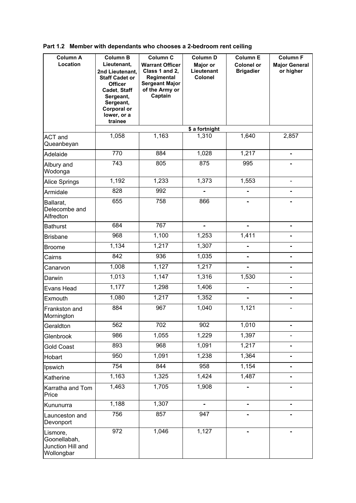| <b>Column A</b><br>Location                                 | <b>Column B</b><br>Lieutenant,<br>2nd Lieutenant,<br><b>Staff Cadet or</b><br><b>Officer</b><br>Cadet, Staff<br>Sergeant,<br>Sergeant,<br><b>Corporal or</b><br>lower, or a<br>trainee | Column C<br><b>Warrant Officer</b><br>Class 1 and 2,<br>Regimental<br><b>Sergeant Major</b><br>of the Army or<br>Captain | <b>Column D</b><br>Major or<br>Lieutenant<br>Colonel | <b>Column E</b><br><b>Colonel or</b><br><b>Brigadier</b> | <b>Column F</b><br><b>Major General</b><br>or higher |
|-------------------------------------------------------------|----------------------------------------------------------------------------------------------------------------------------------------------------------------------------------------|--------------------------------------------------------------------------------------------------------------------------|------------------------------------------------------|----------------------------------------------------------|------------------------------------------------------|
|                                                             |                                                                                                                                                                                        |                                                                                                                          | \$ a fortnight                                       |                                                          |                                                      |
| <b>ACT</b> and<br>Queanbeyan                                | 1,058                                                                                                                                                                                  | 1,163                                                                                                                    | 1,310                                                | 1,640                                                    | 2,857                                                |
| Adelaide                                                    | 770                                                                                                                                                                                    | 884                                                                                                                      | 1,028                                                | 1,217                                                    | $\blacksquare$                                       |
| Albury and<br>Wodonga                                       | 743                                                                                                                                                                                    | 805                                                                                                                      | 875                                                  | 995                                                      | $\blacksquare$                                       |
| Alice Springs                                               | 1,192                                                                                                                                                                                  | 1,233                                                                                                                    | 1,373                                                | 1,553                                                    | $\blacksquare$                                       |
| Armidale                                                    | 828                                                                                                                                                                                    | 992                                                                                                                      |                                                      |                                                          |                                                      |
| Ballarat,<br>Delecombe and<br>Alfredton                     | 655                                                                                                                                                                                    | 758                                                                                                                      | 866                                                  |                                                          |                                                      |
| <b>Bathurst</b>                                             | 684                                                                                                                                                                                    | 767                                                                                                                      | $\blacksquare$                                       | ÷.                                                       | $\blacksquare$                                       |
| <b>Brisbane</b>                                             | 968                                                                                                                                                                                    | 1,100                                                                                                                    | 1,253                                                | 1,411                                                    | $\overline{\phantom{0}}$                             |
| Broome                                                      | 1,134                                                                                                                                                                                  | 1,217                                                                                                                    | 1,307                                                | -                                                        | ÷                                                    |
| Cairns                                                      | 842                                                                                                                                                                                    | 936                                                                                                                      | 1,035                                                | $\overline{\phantom{0}}$                                 |                                                      |
| Canarvon                                                    | 1,008                                                                                                                                                                                  | 1,127                                                                                                                    | 1,217                                                | $\overline{\phantom{0}}$                                 | L,                                                   |
| Darwin                                                      | 1,013                                                                                                                                                                                  | 1,147                                                                                                                    | 1,316                                                | 1,530                                                    |                                                      |
| Evans Head                                                  | 1,177                                                                                                                                                                                  | 1,298                                                                                                                    | 1,406                                                | $\overline{\phantom{0}}$                                 |                                                      |
| Exmouth                                                     | 1,080                                                                                                                                                                                  | 1,217                                                                                                                    | 1,352                                                | $\equiv$                                                 | ÷                                                    |
| Frankston and<br>Mornington                                 | 884                                                                                                                                                                                    | 967                                                                                                                      | 1,040                                                | 1,121                                                    |                                                      |
| Geraldton                                                   | 562                                                                                                                                                                                    | 702                                                                                                                      | 902                                                  | 1,010                                                    | 4                                                    |
| Glenbrook                                                   | 986                                                                                                                                                                                    | 1,055                                                                                                                    | 1,229                                                | 1,397                                                    | -                                                    |
| <b>Gold Coast</b>                                           | 893                                                                                                                                                                                    | 968                                                                                                                      | 1,091                                                | 1,217                                                    |                                                      |
| Hobart                                                      | 950                                                                                                                                                                                    | 1,091                                                                                                                    | 1,238                                                | 1,364                                                    |                                                      |
| Ipswich                                                     | 754                                                                                                                                                                                    | 844                                                                                                                      | 958                                                  | 1,154                                                    |                                                      |
| Katherine                                                   | 1,163                                                                                                                                                                                  | 1,325                                                                                                                    | 1,424                                                | 1,487                                                    | $\blacksquare$                                       |
| Karratha and Tom<br>Price                                   | 1,463                                                                                                                                                                                  | 1,705                                                                                                                    | 1,908                                                | $\blacksquare$                                           | $\blacksquare$                                       |
| Kununurra                                                   | 1,188                                                                                                                                                                                  | 1,307                                                                                                                    | $\blacksquare$                                       | $\frac{1}{2}$                                            | $\blacksquare$                                       |
| Launceston and<br>Devonport                                 | 756                                                                                                                                                                                    | 857                                                                                                                      | 947                                                  | $\blacksquare$                                           | $\blacksquare$                                       |
| Lismore,<br>Goonellabah,<br>Junction Hill and<br>Wollongbar | 972                                                                                                                                                                                    | 1,046                                                                                                                    | 1,127                                                |                                                          |                                                      |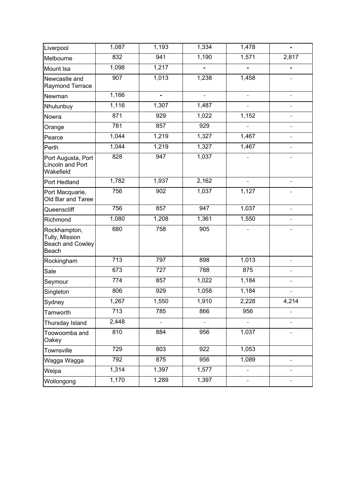| Liverpool                                                          | 1,087 | 1,193 | 1,334 | 1,478                    |                |
|--------------------------------------------------------------------|-------|-------|-------|--------------------------|----------------|
| Melbourne                                                          | 832   | 941   | 1,190 | 1,571                    | 2,817          |
| Mount Isa                                                          | 1,098 | 1,217 |       |                          |                |
| Newcastle and<br>Raymond Terrace                                   | 907   | 1,013 | 1,238 | 1,458                    |                |
| Newman                                                             | 1,166 | ÷,    | ÷.    | ÷,                       |                |
| Nhulunbuy                                                          | 1,116 | 1,307 | 1,487 | ÷.                       |                |
| Nowra                                                              | 871   | 929   | 1,022 | 1,152                    |                |
| Orange                                                             | 781   | 857   | 929   |                          |                |
| Pearce                                                             | 1,044 | 1,219 | 1,327 | 1,467                    | $\blacksquare$ |
| Perth                                                              | 1,044 | 1,219 | 1,327 | 1,467                    |                |
| Port Augusta, Port<br>Lincoln and Port<br>Wakefield                | 828   | 947   | 1,037 |                          |                |
| Port Hedland                                                       | 1,782 | 1,937 | 2,162 | ÷.                       |                |
| Port Macquarie,<br>Old Bar and Taree                               | 756   | 902   | 1,037 | 1,127                    |                |
| Queenscliff                                                        | 756   | 857   | 947   | 1,037                    |                |
| Richmond                                                           | 1,080 | 1,208 | 1,361 | 1,550                    |                |
| Rockhampton,<br>Tully, Mission<br><b>Beach and Cowley</b><br>Beach | 680   | 758   | 905   |                          |                |
| Rockingham                                                         | 713   | 797   | 898   | 1,013                    |                |
| Sale                                                               | 673   | 727   | 788   | 875                      |                |
| Seymour                                                            | 774   | 857   | 1,022 | 1,184                    |                |
| Singleton                                                          | 806   | 929   | 1,058 | 1,184                    |                |
| Sydney                                                             | 1,267 | 1,550 | 1,910 | 2,228                    | 4,214          |
| Tamworth                                                           | 713   | 785   | 866   | 956                      |                |
| Thursday Island                                                    | 2,448 |       |       |                          |                |
| Toowoomba and<br>Oakey                                             | 810   | 884   | 956   | 1,037                    |                |
| Townsville                                                         | 729   | 803   | 922   | 1,053                    |                |
| Wagga Wagga                                                        | 792   | 875   | 956   | 1,089                    | $\blacksquare$ |
| Weipa                                                              | 1,314 | 1,397 | 1,577 | ÷                        | ÷              |
| Wollongong                                                         | 1,170 | 1,289 | 1,397 | $\overline{\phantom{0}}$ |                |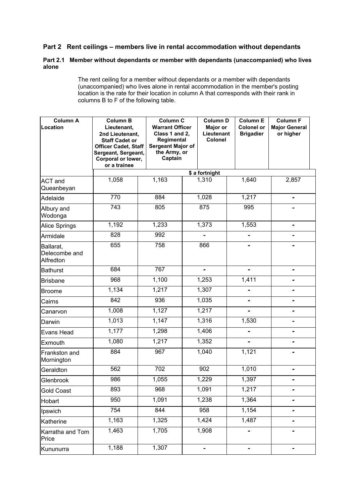# **Part 2 Rent ceilings – members live in rental accommodation without dependants**

## **Part 2.1 Member without dependants or member with dependants (unaccompanied) who lives alone**

 The rent ceiling for a member without dependants or a member with dependants (unaccompanied) who lives alone in rental accommodation in the member's posting location is the rate for their location in column A that corresponds with their rank in columns B to F of the following table.

| <b>Column A</b><br>Location             | <b>Column B</b><br>Lieutenant,<br>2nd Lieutenant,<br><b>Staff Cadet or</b><br><b>Officer Cadet, Staff</b><br>Sergeant, Sergeant,<br>Corporal or lower,<br>or a trainee | Captain | <b>Column C</b><br><b>Warrant Officer</b><br>Class 1 and 2,<br>Regimental<br>Sergeant Major of<br>the Army, or |                | <b>Column E</b><br><b>Colonel or</b><br><b>Brigadier</b> | <b>Column F</b><br><b>Major General</b><br>or higher |
|-----------------------------------------|------------------------------------------------------------------------------------------------------------------------------------------------------------------------|---------|----------------------------------------------------------------------------------------------------------------|----------------|----------------------------------------------------------|------------------------------------------------------|
|                                         |                                                                                                                                                                        |         |                                                                                                                | \$ a fortnight |                                                          |                                                      |
| <b>ACT</b> and<br>Queanbeyan            | 1,058                                                                                                                                                                  | 1,163   |                                                                                                                | 1,310          | 1,640                                                    | 2,857                                                |
| Adelaide                                | 770                                                                                                                                                                    | 884     |                                                                                                                | 1,028          | 1,217                                                    | $\blacksquare$                                       |
| Albury and<br>Wodonga                   | 743                                                                                                                                                                    | 805     |                                                                                                                | 875            | 995                                                      |                                                      |
| <b>Alice Springs</b>                    | 1,192                                                                                                                                                                  | 1,233   |                                                                                                                | 1,373          | 1,553                                                    | $\blacksquare$                                       |
| Armidale                                | 828                                                                                                                                                                    | 992     |                                                                                                                |                |                                                          |                                                      |
| Ballarat,<br>Delecombe and<br>Alfredton | 655                                                                                                                                                                    | 758     |                                                                                                                | 866            |                                                          |                                                      |
| <b>Bathurst</b>                         | 684                                                                                                                                                                    | 767     |                                                                                                                | $\overline{a}$ |                                                          |                                                      |
| <b>Brisbane</b>                         | 968                                                                                                                                                                    | 1,100   |                                                                                                                | 1,253          | 1,411                                                    |                                                      |
| <b>Broome</b>                           | 1,134                                                                                                                                                                  | 1,217   |                                                                                                                | 1,307          |                                                          |                                                      |
| Cairns                                  | 842                                                                                                                                                                    | 936     |                                                                                                                | 1,035          |                                                          |                                                      |
| Canarvon                                | 1,008                                                                                                                                                                  | 1,127   |                                                                                                                | 1,217          | ÷                                                        |                                                      |
| Darwin                                  | 1,013                                                                                                                                                                  | 1,147   |                                                                                                                | 1,316          | 1,530                                                    |                                                      |
| <b>Evans Head</b>                       | 1,177                                                                                                                                                                  | 1,298   |                                                                                                                | 1,406          |                                                          |                                                      |
| Exmouth                                 | 1,080                                                                                                                                                                  | 1,217   |                                                                                                                | 1,352          |                                                          |                                                      |
| Frankston and<br>Mornington             | 884                                                                                                                                                                    | 967     |                                                                                                                | 1,040          | 1,121                                                    |                                                      |
| Geraldton                               | 562                                                                                                                                                                    | 702     |                                                                                                                | 902            | 1,010                                                    | -                                                    |
| Glenbrook                               | 986                                                                                                                                                                    | 1,055   |                                                                                                                | 1,229          | 1,397                                                    |                                                      |
| <b>Gold Coast</b>                       | 893                                                                                                                                                                    | 968     |                                                                                                                | 1,091          | 1,217                                                    |                                                      |
| Hobart                                  | 950                                                                                                                                                                    | 1,091   |                                                                                                                | 1,238          | 1,364                                                    | -                                                    |
| Ipswich                                 | 754                                                                                                                                                                    | 844     |                                                                                                                | 958            | 1,154                                                    |                                                      |
| Katherine                               | 1,163                                                                                                                                                                  | 1,325   |                                                                                                                | 1,424          | 1,487                                                    |                                                      |
| Karratha and Tom<br>Price               | 1,463                                                                                                                                                                  | 1,705   |                                                                                                                | 1,908          |                                                          |                                                      |
| Kununurra                               | 1,188                                                                                                                                                                  | 1,307   |                                                                                                                | -              |                                                          |                                                      |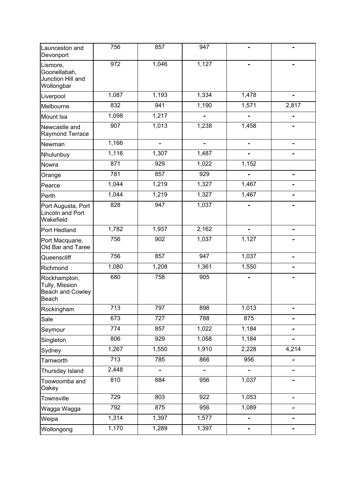|                                                                    | 756              | 857           | 947            |       |                |
|--------------------------------------------------------------------|------------------|---------------|----------------|-------|----------------|
| Launceston and<br>Devonport                                        |                  |               |                |       |                |
| Lismore,<br>Goonellabah,<br>Junction Hill and<br>Wollongbar        | $\overline{972}$ | 1,046         | 1,127          |       |                |
| Liverpool                                                          | 1,087            | 1,193         | 1,334          | 1,478 |                |
| Melbourne                                                          | 832              | 941           | 1,190          | 1,571 | 2,817          |
| Mount Isa                                                          | 1,098            | 1,217         |                |       |                |
| Newcastle and<br>Raymond Terrace                                   | 907              | 1,013         | 1,238          | 1,458 |                |
| Newman                                                             | 1,166            | ۰             | ۰              | ۰     |                |
| Nhulunbuy                                                          | 1,116            | 1,307         | 1,487          |       |                |
| Nowra                                                              | 871              | 929           | 1,022          | 1,152 |                |
| Orange                                                             | 781              | 857           | 929            |       | $\blacksquare$ |
| Pearce                                                             | 1,044            | 1,219         | 1,327          | 1,467 |                |
| Perth                                                              | 1,044            | 1,219         | 1,327          | 1,467 | $\blacksquare$ |
| Port Augusta, Port<br>Lincoln and Port<br>Wakefield                | 828              | 947           | 1,037          |       |                |
| Port Hedland                                                       | 1,782            | 1,937         | 2,162          |       |                |
| Port Macquarie,<br>Old Bar and Taree                               | 756              | 902           | 1,037          | 1,127 |                |
| Queenscliff                                                        | 756              | 857           | 947            | 1,037 |                |
| Richmond                                                           | 1,080            | 1,208         | 1,361          | 1,550 |                |
| Rockhampton,<br>Tully, Mission<br><b>Beach and Cowley</b><br>Beach | 680              | 758           | 905            |       |                |
| Rockingham                                                         | $\overline{713}$ | 797           | 898            | 1,013 |                |
| Sale                                                               | 673              | 727           | 788            | 875   |                |
| Seymour                                                            | $\overline{774}$ | 857           | 1,022          | 1,184 |                |
| Singleton                                                          | 806              | 929           | 1,058          | 1,184 |                |
| Sydney                                                             | 1,267            | 1,550         | 1,910          | 2,228 | 4,214          |
| Tamworth                                                           | $\overline{713}$ | 785           | 866            | 956   |                |
| Thursday Island                                                    | 2,448            | $\frac{1}{2}$ | $\blacksquare$ | 4     | $\blacksquare$ |
| Toowoomba and<br>Oakey                                             | 810              | 884           | 956            | 1,037 |                |
| Townsville                                                         | 729              | 803           | 922            | 1,053 | ۰              |
| Wagga Wagga                                                        | 792              | 875           | 956            | 1,089 |                |
| Weipa                                                              | 1,314            | 1,397         | 1,577          | ÷,    |                |
| Wollongong                                                         | 1,170            | 1,289         | 1,397          | ۰     | ۰              |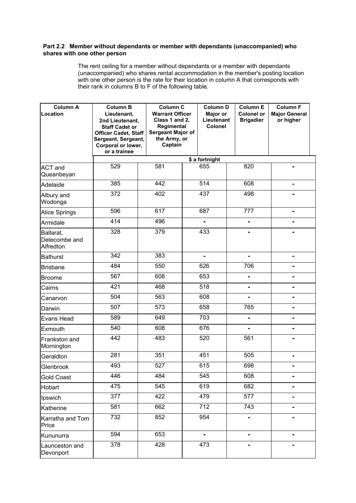#### **Part 2.2 Member without dependants or member with dependants (unaccompanied) who shares with one other person**

 The rent ceiling for a member without dependants or a member with dependants (unaccompanied) who shares rental accommodation in the member's posting location with one other person is the rate for their location in column A that corresponds with their rank in columns B to F of the following table.

| <b>Column A</b><br>Location             | <b>Column B</b><br>Lieutenant,<br>2nd Lieutenant,<br><b>Staff Cadet or</b><br><b>Officer Cadet, Staff</b><br>Sergeant, Sergeant,<br>Corporal or lower,<br>or a trainee | <b>Column C</b><br><b>Warrant Officer</b><br>Class 1 and 2,<br>Regimental<br>Sergeant Major of<br>the Army, or<br>Captain | <b>Column D</b><br><b>Major or</b><br>Lieutenant<br><b>Colonel</b> | <b>Column E</b><br><b>Colonel or</b><br><b>Brigadier</b> | <b>Column F</b><br><b>Major General</b><br>or higher |
|-----------------------------------------|------------------------------------------------------------------------------------------------------------------------------------------------------------------------|---------------------------------------------------------------------------------------------------------------------------|--------------------------------------------------------------------|----------------------------------------------------------|------------------------------------------------------|
|                                         |                                                                                                                                                                        |                                                                                                                           | \$ a fortnight                                                     |                                                          |                                                      |
| <b>ACT</b> and<br>Queanbeyan            | 529                                                                                                                                                                    | 581                                                                                                                       | 655                                                                | 820                                                      |                                                      |
| Adelaide                                | 385                                                                                                                                                                    | 442                                                                                                                       | $\overline{514}$                                                   | 608                                                      |                                                      |
| Albury and<br>Wodonga                   | $\overline{372}$                                                                                                                                                       | 402                                                                                                                       | 437                                                                | 498                                                      |                                                      |
| <b>Alice Springs</b>                    | 596                                                                                                                                                                    | 617                                                                                                                       | 687                                                                | 777                                                      | ۰                                                    |
| Armidale                                | 414                                                                                                                                                                    | 496                                                                                                                       | $\overline{a}$                                                     | ۰                                                        |                                                      |
| Ballarat,<br>Delecombe and<br>Alfredton | 328                                                                                                                                                                    | 379                                                                                                                       | 433                                                                |                                                          |                                                      |
| <b>Bathurst</b>                         | $\overline{342}$                                                                                                                                                       | 383                                                                                                                       |                                                                    |                                                          |                                                      |
| <b>Brisbane</b>                         | 484                                                                                                                                                                    | 550                                                                                                                       | 626                                                                | 706                                                      |                                                      |
| <b>Broome</b>                           | 567                                                                                                                                                                    | 608                                                                                                                       | 653                                                                | ÷                                                        |                                                      |
| Cairns                                  | 421                                                                                                                                                                    | 468                                                                                                                       | 518                                                                | $\blacksquare$                                           | ٠                                                    |
| Canarvon                                | 504                                                                                                                                                                    | 563                                                                                                                       | 608                                                                | ۰                                                        | -                                                    |
| Darwin                                  | 507                                                                                                                                                                    | 573                                                                                                                       | 658                                                                | 765                                                      |                                                      |
| Evans Head                              | 589                                                                                                                                                                    | 649                                                                                                                       | 703                                                                |                                                          |                                                      |
| Exmouth                                 | 540                                                                                                                                                                    | 608                                                                                                                       | 676                                                                |                                                          |                                                      |
| Frankston and<br>Mornington             | 442                                                                                                                                                                    | 483                                                                                                                       | 520                                                                | 561                                                      |                                                      |
| Geraldton                               | 281                                                                                                                                                                    | 351                                                                                                                       | 451                                                                | 505                                                      | ۰                                                    |
| Glenbrook                               | 493                                                                                                                                                                    | 527                                                                                                                       | 615                                                                | 698                                                      | ۰                                                    |
| <b>Gold Coast</b>                       | 446                                                                                                                                                                    | 484                                                                                                                       | 545                                                                | 608                                                      |                                                      |
| Hobart                                  | 475                                                                                                                                                                    | 545                                                                                                                       | 619                                                                | 682                                                      |                                                      |
| Ipswich                                 | 377                                                                                                                                                                    | 422                                                                                                                       | 479                                                                | 577                                                      |                                                      |
| Katherine                               | 581                                                                                                                                                                    | 662                                                                                                                       | 712                                                                | $\overline{743}$                                         |                                                      |
| Karratha and Tom<br>Price               | 732                                                                                                                                                                    | 852                                                                                                                       | 954                                                                |                                                          |                                                      |
| Kununurra                               | 594                                                                                                                                                                    | 653                                                                                                                       |                                                                    |                                                          |                                                      |
| Launceston and<br>Devonport             | 378                                                                                                                                                                    | 428                                                                                                                       | 473                                                                |                                                          |                                                      |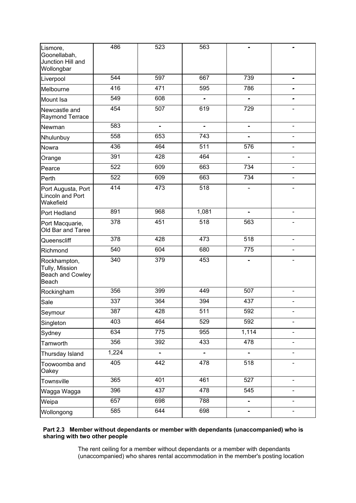| Lismore,<br>Goonellabah,<br>Junction Hill and<br>Wollongbar        | 486              | 523            | 563              |                              |                |
|--------------------------------------------------------------------|------------------|----------------|------------------|------------------------------|----------------|
| Liverpool                                                          | 544              | 597            | 667              | 739                          |                |
| Melbourne                                                          | 416              | 471            | 595              | 786                          |                |
| Mount Isa                                                          | 549              | 608            | $\blacksquare$   | $\blacksquare$               |                |
| Newcastle and<br>Raymond Terrace                                   | 454              | 507            | 619              | 729                          |                |
| Newman                                                             | 583              | $\blacksquare$ | ÷                |                              |                |
| Nhulunbuy                                                          | 558              | 653            | 743              |                              |                |
| Nowra                                                              | 436              | 464            | 511              | 576                          |                |
| Orange                                                             | 391              | 428            | 464              |                              |                |
| Pearce                                                             | 522              | 609            | 663              | 734                          |                |
| Perth                                                              | 522              | 609            | 663              | 734                          |                |
| Port Augusta, Port<br><b>Lincoln and Port</b><br>Wakefield         | 414              | 473            | 518              |                              |                |
| Port Hedland                                                       | 891              | 968            | 1,081            | $\blacksquare$               | $\blacksquare$ |
| Port Macquarie,<br>Old Bar and Taree                               | 378              | 451            | 518              | 563                          |                |
| Queenscliff                                                        | 378              | 428            | 473              | 518                          |                |
| Richmond                                                           | 540              | 604            | 680              | 775                          |                |
| Rockhampton,<br>Tully, Mission<br><b>Beach and Cowley</b><br>Beach | 340              | 379            | 453              |                              |                |
| Rockingham                                                         | 356              | 399            | 449              | 507                          |                |
| Sale                                                               | 337              | 364            | 394              | 437                          |                |
| Seymour                                                            | 387              | 428            | $\overline{511}$ | 592                          |                |
| Singleton                                                          | 403              | 464            | 529              | 592                          |                |
| Sydney                                                             | 634              | 775            | 955              | 1,114                        |                |
| Tamworth                                                           | 356              | 392            | 433              | 478                          |                |
| Thursday Island                                                    | 1,224            | $\blacksquare$ | $\blacksquare$   | $\blacksquare$               | $\blacksquare$ |
| Toowoomba and<br>Oakey                                             | 405              | 442            | 478              | 518                          |                |
| Townsville                                                         | 365              | 401            | 461              | 527                          |                |
| Wagga Wagga                                                        | 396              | 437            | 478              | 545                          | $\blacksquare$ |
| Weipa                                                              | 657              | 698            | 788              |                              |                |
| Wollongong                                                         | $\overline{585}$ | 644            | 698              | $\qquad \qquad \blacksquare$ |                |

### **Part 2.3 Member without dependants or member with dependants (unaccompanied) who is sharing with two other people**

 The rent ceiling for a member without dependants or a member with dependants (unaccompanied) who shares rental accommodation in the member's posting location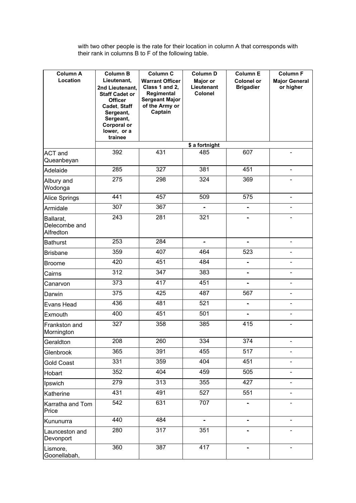with two other people is the rate for their location in column A that corresponds with their rank in columns B to F of the following table.

| <b>Column A</b>                         | <b>Column B</b>                                                             | Column C                                                                        | Column D                                 | <b>Column E</b>                       | <b>Column F</b>                   |
|-----------------------------------------|-----------------------------------------------------------------------------|---------------------------------------------------------------------------------|------------------------------------------|---------------------------------------|-----------------------------------|
| Location                                | Lieutenant,<br>2nd Lieutenant,<br><b>Staff Cadet or</b><br><b>Officer</b>   | <b>Warrant Officer</b><br>Class 1 and 2,<br>Regimental<br><b>Sergeant Major</b> | Major or<br>Lieutenant<br><b>Colonel</b> | <b>Colonel or</b><br><b>Brigadier</b> | <b>Major General</b><br>or higher |
|                                         | Cadet, Staff<br>Sergeant,<br>Sergeant,<br><b>Corporal or</b><br>lower, or a | of the Army or<br>Captain                                                       |                                          |                                       |                                   |
|                                         | trainee                                                                     |                                                                                 |                                          |                                       |                                   |
| ACT and                                 | 392                                                                         | 431                                                                             | \$ a fortnight<br>485                    | 607                                   |                                   |
| Queanbeyan                              |                                                                             |                                                                                 |                                          |                                       |                                   |
| Adelaide                                | 285                                                                         | 327                                                                             | 381                                      | 451                                   |                                   |
| Albury and<br>Wodonga                   | 275                                                                         | 298                                                                             | 324                                      | 369                                   |                                   |
| Alice Springs                           | 441                                                                         | 457                                                                             | 509                                      | 575                                   |                                   |
| Armidale                                | 307                                                                         | 367                                                                             |                                          | $\blacksquare$                        |                                   |
| Ballarat,<br>Delecombe and<br>Alfredton | 243                                                                         | 281                                                                             | 321                                      |                                       |                                   |
| <b>Bathurst</b>                         | 253                                                                         | 284                                                                             |                                          |                                       |                                   |
| <b>Brisbane</b>                         | 359                                                                         | 407                                                                             | 464                                      | 523                                   |                                   |
| <b>Broome</b>                           | 420                                                                         | 451                                                                             | 484                                      |                                       |                                   |
| Cairns                                  | 312                                                                         | 347                                                                             | 383                                      |                                       |                                   |
| Canarvon                                | 373                                                                         | $\overline{417}$                                                                | 451                                      | $\blacksquare$                        | $\blacksquare$                    |
| Darwin                                  | 375                                                                         | 425                                                                             | 487                                      | 567                                   | -                                 |
| Evans Head                              | 436                                                                         | 481                                                                             | 521                                      | $\overline{\phantom{0}}$              |                                   |
| Exmouth                                 | 400                                                                         | 451                                                                             | 501                                      |                                       |                                   |
| Frankston and<br>Mornington             | 327                                                                         | 358                                                                             | 385                                      | 415                                   |                                   |
| Geraldton                               | 208                                                                         | 260                                                                             | 334                                      | 374                                   |                                   |
| Glenbrook                               | 365                                                                         | 391                                                                             | 455                                      | 517                                   |                                   |
| <b>Gold Coast</b>                       | 331                                                                         | 359                                                                             | 404                                      | 451                                   |                                   |
| Hobart                                  | 352                                                                         | 404                                                                             | 459                                      | 505                                   |                                   |
| Ipswich                                 | $\overline{279}$                                                            | 313                                                                             | 355                                      | 427                                   |                                   |
| Katherine                               | 431                                                                         | 491                                                                             | 527                                      | 551                                   |                                   |
| Karratha and Tom<br>Price               | $\overline{542}$                                                            | 631                                                                             | 707                                      | $\qquad \qquad \blacksquare$          |                                   |
| Kununurra                               | 440                                                                         | 484                                                                             |                                          |                                       |                                   |
| Launceston and<br>Devonport             | 280                                                                         | 317                                                                             | 351                                      |                                       |                                   |
| Lismore,<br>Goonellabah,                | 360                                                                         | 387                                                                             | 417                                      |                                       | ۰                                 |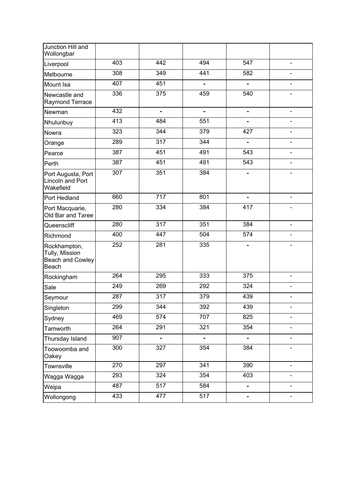| Junction Hill and<br>Wollongbar                             |     |                |                          |                          |                          |
|-------------------------------------------------------------|-----|----------------|--------------------------|--------------------------|--------------------------|
| Liverpool                                                   | 403 | 442            | 494                      | 547                      |                          |
| Melbourne                                                   | 308 | 349            | 441                      | 582                      |                          |
| Mount Isa                                                   | 407 | 451            |                          |                          |                          |
| Newcastle and<br>Raymond Terrace                            | 336 | 375            | 459                      | 540                      |                          |
| Newman                                                      | 432 | $\blacksquare$ | $\overline{\phantom{0}}$ | $\overline{\phantom{0}}$ |                          |
| Nhulunbuy                                                   | 413 | 484            | 551                      | -                        |                          |
| Nowra                                                       | 323 | 344            | 379                      | 427                      |                          |
| Orange                                                      | 289 | 317            | 344                      | $\blacksquare$           |                          |
| Pearce                                                      | 387 | 451            | 491                      | 543                      |                          |
| Perth                                                       | 387 | 451            | 491                      | 543                      |                          |
| Port Augusta, Port<br>Lincoln and Port<br>Wakefield         | 307 | 351            | 384                      | Ξ.                       | ۰                        |
| Port Hedland                                                | 660 | 717            | 801                      |                          |                          |
| Port Macquarie,<br>Old Bar and Taree                        | 280 | 334            | 384                      | 417                      |                          |
| Queenscliff                                                 | 280 | 317            | 351                      | 384                      |                          |
| Richmond                                                    | 400 | 447            | 504                      | 574                      |                          |
| Rockhampton,<br>Tully, Mission<br>Beach and Cowley<br>Beach | 252 | 281            | 335                      |                          |                          |
| Rockingham                                                  | 264 | 295            | 333                      | 375                      |                          |
| Sale                                                        | 249 | 269            | 292                      | 324                      | $\overline{a}$           |
| Seymour                                                     | 287 | 317            | 379                      | 439                      |                          |
| Singleton                                                   | 299 | 344            | 392                      | 439                      |                          |
| Sydney                                                      | 469 | 574            | 707                      | 825                      |                          |
| Tamworth                                                    | 264 | 291            | 321                      | 354                      |                          |
| Thursday Island                                             | 907 | $\blacksquare$ | $\blacksquare$           | $\blacksquare$           | $\overline{\phantom{0}}$ |
| Toowoomba and<br>Oakey                                      | 300 | 327            | 354                      | 384                      |                          |
| Townsville                                                  | 270 | 297            | 341                      | 390                      |                          |
| Wagga Wagga                                                 | 293 | 324            | 354                      | 403                      |                          |
| Weipa                                                       | 487 | 517            | 584                      |                          |                          |
| Wollongong                                                  | 433 | 477            | 517                      |                          |                          |
|                                                             |     |                |                          |                          |                          |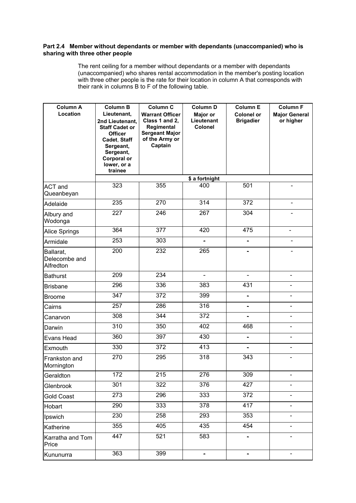#### **Part 2.4 Member without dependants or member with dependants (unaccompanied) who is sharing with three other people**

 The rent ceiling for a member without dependants or a member with dependants (unaccompanied) who shares rental accommodation in the member's posting location with three other people is the rate for their location in column A that corresponds with their rank in columns B to F of the following table.

| <b>Column A</b><br>Location             | <b>Column B</b><br>Lieutenant,<br>2nd Lieutenant,<br><b>Staff Cadet or</b><br><b>Officer</b><br>Cadet, Staff<br>Sergeant,<br>Sergeant,<br><b>Corporal or</b><br>lower, or a<br>trainee | Column C<br><b>Warrant Officer</b><br>Class 1 and 2,<br>Regimental<br><b>Sergeant Major</b><br>of the Army or<br>Captain | Column D<br>Major or<br>Lieutenant<br>Colonel | <b>Column E</b><br><b>Colonel or</b><br><b>Brigadier</b> | <b>Column F</b><br><b>Major General</b><br>or higher |  |  |  |
|-----------------------------------------|----------------------------------------------------------------------------------------------------------------------------------------------------------------------------------------|--------------------------------------------------------------------------------------------------------------------------|-----------------------------------------------|----------------------------------------------------------|------------------------------------------------------|--|--|--|
|                                         | \$ a fortnight                                                                                                                                                                         |                                                                                                                          |                                               |                                                          |                                                      |  |  |  |
| ACT and<br>Queanbeyan                   | 323                                                                                                                                                                                    | 355                                                                                                                      | 400                                           | 501                                                      |                                                      |  |  |  |
| Adelaide                                | 235                                                                                                                                                                                    | 270                                                                                                                      | 314                                           | 372                                                      |                                                      |  |  |  |
| Albury and<br>Wodonga                   | 227                                                                                                                                                                                    | 246                                                                                                                      | 267                                           | 304                                                      |                                                      |  |  |  |
| Alice Springs                           | 364                                                                                                                                                                                    | $\overline{377}$                                                                                                         | 420                                           | 475                                                      | Ξ.                                                   |  |  |  |
| Armidale                                | 253                                                                                                                                                                                    | 303                                                                                                                      |                                               |                                                          |                                                      |  |  |  |
| Ballarat,<br>Delecombe and<br>Alfredton | 200                                                                                                                                                                                    | 232                                                                                                                      | 265                                           |                                                          |                                                      |  |  |  |
| <b>Bathurst</b>                         | 209                                                                                                                                                                                    | 234                                                                                                                      | $\qquad \qquad \blacksquare$                  | Ξ.                                                       | ۰                                                    |  |  |  |
| <b>Brisbane</b>                         | 296                                                                                                                                                                                    | 336                                                                                                                      | 383                                           | 431                                                      |                                                      |  |  |  |
| <b>Broome</b>                           | 347                                                                                                                                                                                    | 372                                                                                                                      | 399                                           |                                                          |                                                      |  |  |  |
| Cairns                                  | 257                                                                                                                                                                                    | 286                                                                                                                      | 316                                           |                                                          |                                                      |  |  |  |
| Canarvon                                | 308                                                                                                                                                                                    | 344                                                                                                                      | 372                                           |                                                          |                                                      |  |  |  |
| Darwin                                  | 310                                                                                                                                                                                    | 350                                                                                                                      | 402                                           | 468                                                      |                                                      |  |  |  |
| Evans Head                              | 360                                                                                                                                                                                    | 397                                                                                                                      | 430                                           |                                                          |                                                      |  |  |  |
| Exmouth                                 | 330                                                                                                                                                                                    | 372                                                                                                                      | 413                                           | Ξ.                                                       | ÷                                                    |  |  |  |
| Frankston and<br>Mornington             | 270                                                                                                                                                                                    | 295                                                                                                                      | 318                                           | 343                                                      |                                                      |  |  |  |
| Geraldton                               | 172                                                                                                                                                                                    | 215                                                                                                                      | 276                                           | 309                                                      |                                                      |  |  |  |
| Glenbrook                               | 301                                                                                                                                                                                    | 322                                                                                                                      | 376                                           | 427                                                      |                                                      |  |  |  |
| <b>Gold Coast</b>                       | 273                                                                                                                                                                                    | 296                                                                                                                      | 333                                           | 372                                                      |                                                      |  |  |  |
| Hobart                                  | 290                                                                                                                                                                                    | 333                                                                                                                      | 378                                           | 417                                                      |                                                      |  |  |  |
| Ipswich                                 | 230                                                                                                                                                                                    | 258                                                                                                                      | 293                                           | 353                                                      |                                                      |  |  |  |
| Katherine                               | 355                                                                                                                                                                                    | 405                                                                                                                      | 435                                           | 454                                                      |                                                      |  |  |  |
| Karratha and Tom<br>Price               | 447                                                                                                                                                                                    | 521                                                                                                                      | 583                                           |                                                          |                                                      |  |  |  |
| Kununurra                               | 363                                                                                                                                                                                    | 399                                                                                                                      | $\blacksquare$                                | -                                                        | $\blacksquare$                                       |  |  |  |